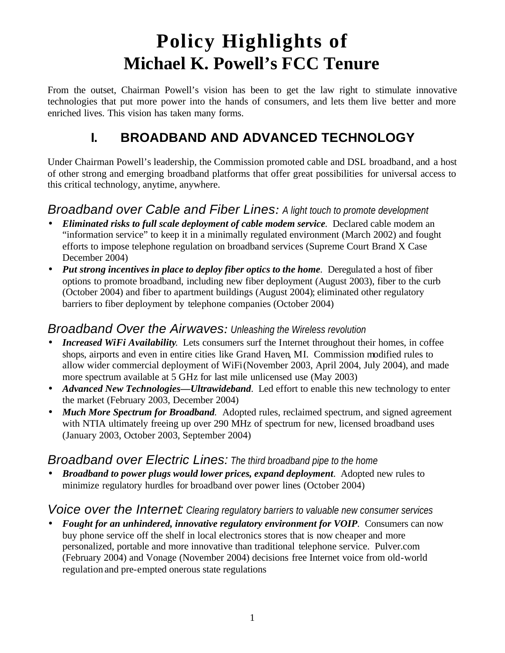# **Policy Highlights of Michael K. Powell's FCC Tenure**

From the outset, Chairman Powell's vision has been to get the law right to stimulate innovative technologies that put more power into the hands of consumers, and lets them live better and more enriched lives. This vision has taken many forms.

### **I. BROADBAND AND ADVANCED TECHNOLOGY**

Under Chairman Powell's leadership, the Commission promoted cable and DSL broadband, and a host of other strong and emerging broadband platforms that offer great possibilities for universal access to this critical technology, anytime, anywhere.

### *Broadband over Cable and Fiber Lines: A light touch to promote development*

- *Eliminated risks to full scale deployment of cable modem service.* Declared cable modem an "information service" to keep it in a minimally regulated environment (March 2002) and fought efforts to impose telephone regulation on broadband services (Supreme Court Brand X Case December 2004)
- *Put strong incentives in place to deploy fiber optics to the home.* Deregulated a host of fiber options to promote broadband, including new fiber deployment (August 2003), fiber to the curb (October 2004) and fiber to apartment buildings (August 2004); eliminated other regulatory barriers to fiber deployment by telephone companies (October 2004)

#### *Broadband Over the Airwaves: Unleashing the Wireless revolution*

- *Increased WiFi Availability*. Lets consumers surf the Internet throughout their homes, in coffee shops, airports and even in entire cities like Grand Haven, MI. Commission modified rules to allow wider commercial deployment of WiFi (November 2003, April 2004, July 2004), and made more spectrum available at 5 GHz for last mile unlicensed use (May 2003)
- *Advanced New Technologies—Ultrawideband.* Led effort to enable this new technology to enter the market (February 2003, December 2004)
- *Much More Spectrum for Broadband*. Adopted rules, reclaimed spectrum, and signed agreement with NTIA ultimately freeing up over 290 MHz of spectrum for new, licensed broadband uses (January 2003, October 2003, September 2004)

### *Broadband over Electric Lines: The third broadband pipe to the home*

• *Broadband to power plugs would lower prices, expand deployment*. Adopted new rules to minimize regulatory hurdles for broadband over power lines (October 2004)

#### *Voice over the Internet: Clearing regulatory barriers to valuable new consumer services*

• *Fought for an unhindered, innovative regulatory environment for VOIP.* Consumers can now buy phone service off the shelf in local electronics stores that is now cheaper and more personalized, portable and more innovative than traditional telephone service. Pulver.com (February 2004) and Vonage (November 2004) decisions free Internet voice from old-world regulation and pre-empted onerous state regulations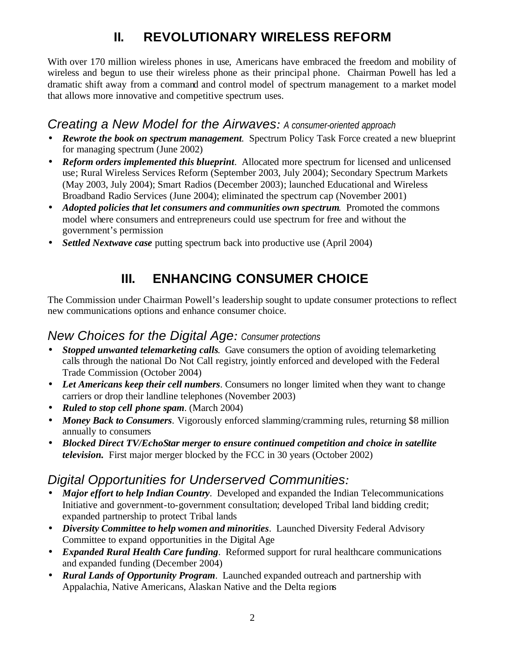## **II. REVOLUTIONARY WIRELESS REFORM**

With over 170 million wireless phones in use, Americans have embraced the freedom and mobility of wireless and begun to use their wireless phone as their principal phone. Chairman Powell has led a dramatic shift away from a command and control model of spectrum management to a market model that allows more innovative and competitive spectrum uses.

#### *Creating a New Model for the Airwaves: A consumer-oriented approach*

- *Rewrote the book on spectrum management*. Spectrum Policy Task Force created a new blueprint for managing spectrum (June 2002)
- *Reform orders implemented this blueprint*. Allocated more spectrum for licensed and unlicensed use; Rural Wireless Services Reform (September 2003, July 2004); Secondary Spectrum Markets (May 2003, July 2004); Smart Radios (December 2003); launched Educational and Wireless Broadband Radio Services (June 2004); eliminated the spectrum cap (November 2001)
- *Adopted policies that let consumers and communities own spectrum.* Promoted the commons model where consumers and entrepreneurs could use spectrum for free and without the government's permission
- *Settled Nextwave case* putting spectrum back into productive use (April 2004)

### **III. ENHANCING CONSUMER CHOICE**

The Commission under Chairman Powell's leadership sought to update consumer protections to reflect new communications options and enhance consumer choice.

#### *New Choices for the Digital Age: Consumer protections*

- *Stopped unwanted telemarketing calls.* Gave consumers the option of avoiding telemarketing calls through the national Do Not Call registry, jointly enforced and developed with the Federal Trade Commission (October 2004)
- Let Americans keep their cell numbers. Consumers no longer limited when they want to change carriers or drop their landline telephones (November 2003)
- *Ruled to stop cell phone spam*. (March 2004)
- *Money Back to Consumers*. Vigorously enforced slamming/cramming rules, returning \$8 million annually to consumers
- *Blocked Direct TV/EchoStar merger to ensure continued competition and choice in satellite television.* First major merger blocked by the FCC in 30 years (October 2002)

### *Digital Opportunities for Underserved Communities:*

- *Major effort to help Indian Country*. Developed and expanded the Indian Telecommunications Initiative and government-to-government consultation; developed Tribal land bidding credit; expanded partnership to protect Tribal lands
- *Diversity Committee to help women and minorities*. Launched Diversity Federal Advisory Committee to expand opportunities in the Digital Age
- *Expanded Rural Health Care funding.* Reformed support for rural healthcare communications and expanded funding (December 2004)
- *Rural Lands of Opportunity Program*.Launched expanded outreach and partnership with Appalachia, Native Americans, Alaskan Native and the Delta regions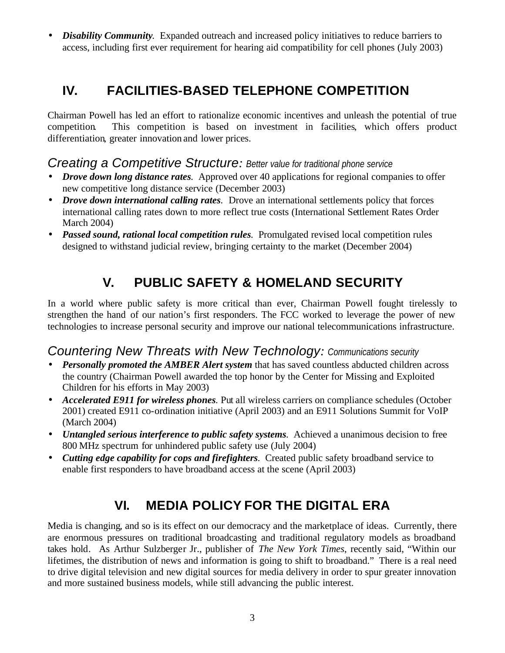• *Disability Community*. Expanded outreach and increased policy initiatives to reduce barriers to access, including first ever requirement for hearing aid compatibility for cell phones (July 2003)

### **IV. FACILITIES-BASED TELEPHONE COMPETITION**

Chairman Powell has led an effort to rationalize economic incentives and unleash the potential of true competition. This competition is based on investment in facilities, which offers product differentiation, greater innovation and lower prices.

#### *Creating a Competitive Structure: Better value for traditional phone service*

- *Drove down long distance rates*. Approved over 40 applications for regional companies to offer new competitive long distance service (December 2003)
- *Drove down international calling rates.* Drove an international settlements policy that forces international calling rates down to more reflect true costs (International Settlement Rates Order March 2004)
- *Passed sound, rational local competition rules.* Promulgated revised local competition rules designed to withstand judicial review, bringing certainty to the market (December 2004)

### **V. PUBLIC SAFETY & HOMELAND SECURITY**

In a world where public safety is more critical than ever, Chairman Powell fought tirelessly to strengthen the hand of our nation's first responders. The FCC worked to leverage the power of new technologies to increase personal security and improve our national telecommunications infrastructure.

### *Countering New Threats with New Technology: Communications security*

- *Personally promoted the AMBER Alert system* that has saved countless abducted children across the country (Chairman Powell awarded the top honor by the Center for Missing and Exploited Children for his efforts in May 2003)
- *Accelerated E911 for wireless phones*. Put all wireless carriers on compliance schedules (October 2001) created E911 co-ordination initiative (April 2003) and an E911 Solutions Summit for VoIP (March 2004)
- *Untangled serious interference to public safety systems.* Achieved a unanimous decision to free 800 MHz spectrum for unhindered public safety use (July 2004)
- *Cutting edge capability for cops and firefighters.* Created public safety broadband service to enable first responders to have broadband access at the scene (April 2003)

### **VI. MEDIA POLICY FOR THE DIGITAL ERA**

Media is changing, and so is its effect on our democracy and the marketplace of ideas. Currently, there are enormous pressures on traditional broadcasting and traditional regulatory models as broadband takes hold. As Arthur Sulzberger Jr., publisher of *The New York Times*, recently said, "Within our lifetimes, the distribution of news and information is going to shift to broadband." There is a real need to drive digital television and new digital sources for media delivery in order to spur greater innovation and more sustained business models, while still advancing the public interest.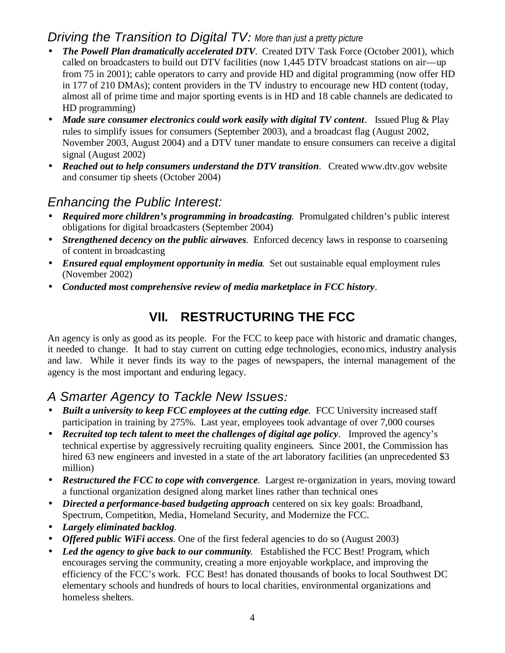### *Driving the Transition to Digital TV: More than just a pretty picture*

- *The Powell Plan dramatically accelerated DTV*. Created DTV Task Force (October 2001), which called on broadcasters to build out DTV facilities (now 1,445 DTV broadcast stations on air—up from 75 in 2001); cable operators to carry and provide HD and digital programming (now offer HD in 177 of 210 DMAs); content providers in the TV industry to encourage new HD content (today, almost all of prime time and major sporting events is in HD and 18 cable channels are dedicated to HD programming)
- *Made sure consumer electronics could work easily with digital TV content.* Issued Plug & Play rules to simplify issues for consumers (September 2003), and a broadcast flag (August 2002, November 2003, August 2004) and a DTV tuner mandate to ensure consumers can receive a digital signal (August 2002)
- **Reached out to help consumers understand the DTV transition.** Created www.dtv.gov website and consumer tip sheets (October 2004)

### *Enhancing the Public Interest:*

- *Required more children's programming in broadcasting.* Promulgated children's public interest obligations for digital broadcasters (September 2004)
- *Strengthened decency on the public airwaves*. Enforced decency laws in response to coarsening of content in broadcasting
- *Ensured equal employment opportunity in media*. Set out sustainable equal employment rules (November 2002)
- *Conducted most comprehensive review of media marketplace in FCC history*.

### **VII. RESTRUCTURING THE FCC**

An agency is only as good as its people. For the FCC to keep pace with historic and dramatic changes, it needed to change. It had to stay current on cutting edge technologies, economics, industry analysis and law. While it never finds its way to the pages of newspapers, the internal management of the agency is the most important and enduring legacy.

### *A Smarter Agency to Tackle New Issues:*

- *Built a university to keep FCC employees at the cutting edge.* FCC University increased staff participation in training by 275%. Last year, employees took advantage of over 7,000 courses
- *Recruited top tech talent to meet the challenges of digital age policy*. Improved the agency's technical expertise by aggressively recruiting quality engineers. Since 2001, the Commission has hired 63 new engineers and invested in a state of the art laboratory facilities (an unprecedented \$3 million)
- *Restructured the FCC to cope with convergence*. Largest re-organization in years, moving toward a functional organization designed along market lines rather than technical ones
- *Directed a performance-based budgeting approach* centered on six key goals: Broadband, Spectrum, Competition, Media, Homeland Security, and Modernize the FCC.
- *Largely eliminated backlog.*
- *Offered public WiFi access.* One of the first federal agencies to do so (August 2003)
- Led the agency to give back to our community. Established the FCC Best! Program, which encourages serving the community, creating a more enjoyable workplace, and improving the efficiency of the FCC's work. FCC Best! has donated thousands of books to local Southwest DC elementary schools and hundreds of hours to local charities, environmental organizations and homeless shelters.